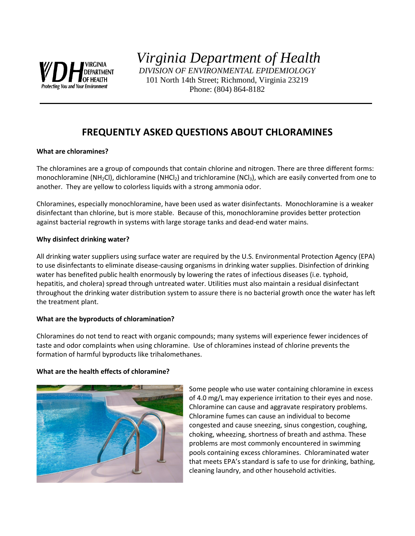

*Virginia Department of Health DIVISION OF ENVIRONMENTAL EPIDEMIOLOGY* 101 North 14th Street; Richmond, Virginia 23219

Phone: (804) 864-8182

# **FREQUENTLY ASKED QUESTIONS ABOUT CHLORAMINES**

# **What are chloramines?**

The chloramines are a group of compounds that contain chlorine and nitrogen. There are three different forms: monochloramine (NH<sub>2</sub>Cl), dichloramine (NHCl<sub>2</sub>) and trichloramine (NCl<sub>3</sub>), which are easily converted from one to another. They are yellow to colorless liquids with a strong ammonia odor.

Chloramines, especially monochloramine, have been used as water disinfectants. Monochloramine is a weaker disinfectant than chlorine, but is more stable. Because of this, monochloramine provides better protection against bacterial regrowth in systems with large storage tanks and dead-end water mains.

## **Why disinfect drinking water?**

All drinking water suppliers using surface water are required by the U.S. Environmental Protection Agency (EPA) to use disinfectants to eliminate disease-causing organisms in drinking water supplies. Disinfection of drinking water has benefited public health enormously by lowering the rates of infectious diseases (i.e. typhoid, hepatitis, and cholera) spread through untreated water. Utilities must also maintain a residual disinfectant throughout the drinking water distribution system to assure there is no bacterial growth once the water has left the treatment plant.

# **What are the byproducts of chloramination?**

Chloramines do not tend to react with organic compounds; many systems will experience fewer incidences of taste and odor complaints when using chloramine. Use of chloramines instead of chlorine prevents the formation of harmful byproducts like trihalomethanes.

#### **What are the health effects of chloramine?**



Some people who use water containing chloramine in excess of 4.0 mg/L may experience irritation to their eyes and nose. Chloramine can cause and aggravate respiratory problems. Chloramine fumes can cause an individual to become congested and cause sneezing, sinus congestion, coughing, choking, wheezing, shortness of breath and asthma. These problems are most commonly encountered in swimming pools containing excess chloramines. Chloraminated water that meets EPA's standard is safe to use for drinking, bathing, cleaning laundry, and other household activities.